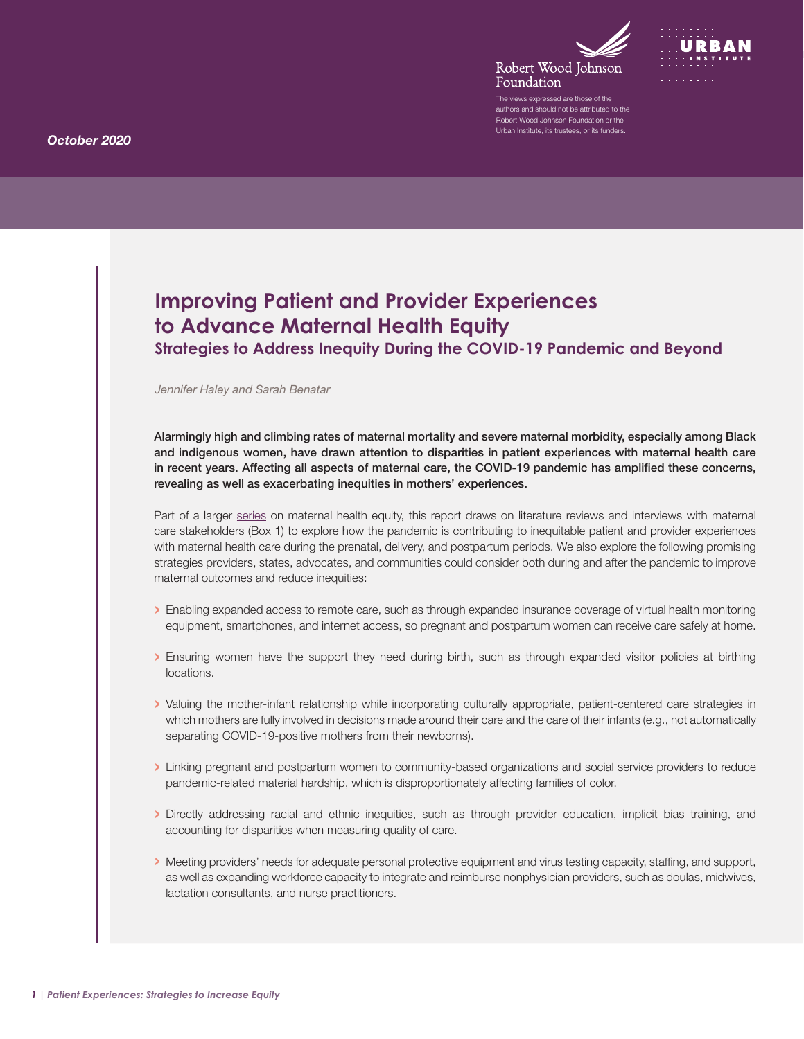



The views expressed are those of the authors and should not be attributed to the Robert Wood Johnson Foundation or the Urban Institute, its trustees, or its funders.

# **Improving Patient and Provider Experiences to Advance Maternal Health Equity**

**Strategies to Address Inequity During the COVID-19 Pandemic and Beyond**

#### *Jennifer Haley and Sarah Benatar*

Alarmingly high and climbing rates of maternal mortality and severe maternal morbidity, especially among Black and indigenous women, have drawn attention to disparities in patient experiences with maternal health care in recent years. Affecting all aspects of maternal care, the COVID-19 pandemic has amplified these concerns, revealing as well as exacerbating inequities in mothers' experiences.

Part of a larger [series](https://www.rwjf.org/en/library/research/2020/10/maternal-health-inequity-during-the-covid-19-pandemic.html) on maternal health equity, this report draws on literature reviews and interviews with maternal care stakeholders (Box 1) to explore how the pandemic is contributing to inequitable patient and provider experiences with maternal health care during the prenatal, delivery, and postpartum periods. We also explore the following promising strategies providers, states, advocates, and communities could consider both during and after the pandemic to improve maternal outcomes and reduce inequities:

- › Enabling expanded access to remote care, such as through expanded insurance coverage of virtual health monitoring equipment, smartphones, and internet access, so pregnant and postpartum women can receive care safely at home.
- › Ensuring women have the support they need during birth, such as through expanded visitor policies at birthing locations.
- › Valuing the mother-infant relationship while incorporating culturally appropriate, patient-centered care strategies in which mothers are fully involved in decisions made around their care and the care of their infants (e.g., not automatically separating COVID-19-positive mothers from their newborns).
- › Linking pregnant and postpartum women to community-based organizations and social service providers to reduce pandemic-related material hardship, which is disproportionately affecting families of color.
- › Directly addressing racial and ethnic inequities, such as through provider education, implicit bias training, and accounting for disparities when measuring quality of care.
- › Meeting providers' needs for adequate personal protective equipment and virus testing capacity, staffing, and support, as well as expanding workforce capacity to integrate and reimburse nonphysician providers, such as doulas, midwives, lactation consultants, and nurse practitioners.

*October 2020*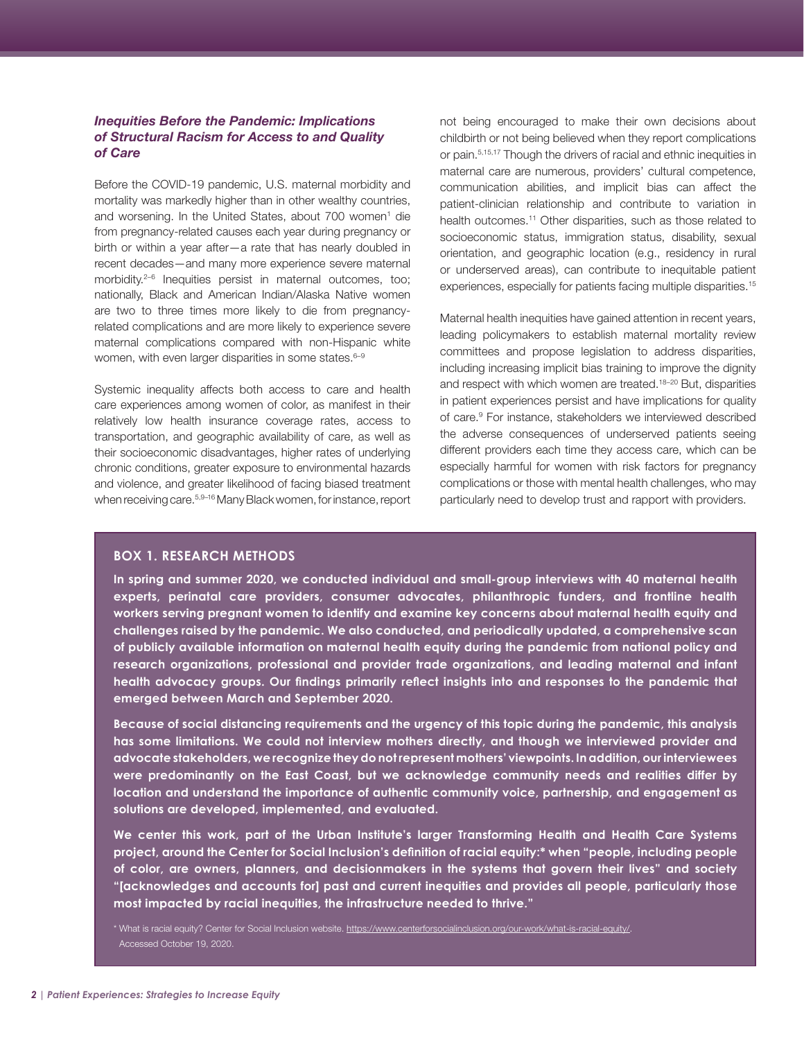# <span id="page-1-0"></span>*Inequities Before the Pandemic: Implications of Structural Racism for Access to and Quality of Care*

Before the COVID-19 pandemic, U.S. maternal morbidity and mortality was markedly higher than in other wealthy countries, and worsening. In the United States, about 700 women<sup>[1](#page-6-0)</sup> die from pregnancy-related causes each year during pregnancy or birth or within a year after—a rate that has nearly doubled in recent decades—and many more experience severe maternal morbidity.<sup>2-6</sup> Inequities persist in maternal outcomes, too; nationally, Black and American Indian/Alaska Native women are two to three times more likely to die from pregnancyrelated complications and are more likely to experience severe maternal complications compared with non-Hispanic white women, with even larger disparities in some states.<sup>6-[9](#page-6-0)</sup>

Systemic inequality affects both access to care and health care experiences among women of color, as manifest in their relatively low health insurance coverage rates, access to transportation, and geographic availability of care, as well as their socioeconomic disadvantages, higher rates of underlying chronic conditions, greater exposure to environmental hazards and violence, and greater likelihood of facing biased treatment when receiving care.5,9[–16](#page-6-0) Many Black women, for instance, report not being encouraged to make their own decisions about childbirth or not being believed when they report complications or pain[.5,15,17](#page-6-0) Though the drivers of racial and ethnic inequities in maternal care are numerous, providers' cultural competence, communication abilities, and implicit bias can affect the patient-clinician relationship and contribute to variation in health outcomes.<sup>11</sup> Other disparities, such as those related to socioeconomic status, immigration status, disability, sexual orientation, and geographic location (e.g., residency in rural or underserved areas), can contribute to inequitable patient experiences, especially for patients facing multiple disparities.<sup>15</sup>

Maternal health inequities have gained attention in recent years, leading policymakers to establish maternal mortality review committees and propose legislation to address disparities, including increasing implicit bias training to improve the dignity and respect with which women are treated.<sup>[18–20](#page-6-0)</sup> But, disparities in patient experiences persist and have implications for quality of care.<sup>9</sup> For instance, stakeholders we interviewed described the adverse consequences of underserved patients seeing different providers each time they access care, which can be especially harmful for women with risk factors for pregnancy complications or those with mental health challenges, who may particularly need to develop trust and rapport with providers.

#### **BOX 1. RESEARCH METHODS**

**In spring and summer 2020, we conducted individual and small-group interviews with 40 maternal health experts, perinatal care providers, consumer advocates, philanthropic funders, and frontline health workers serving pregnant women to identify and examine key concerns about maternal health equity and challenges raised by the pandemic. We also conducted, and periodically updated, a comprehensive scan of publicly available information on maternal health equity during the pandemic from national policy and research organizations, professional and provider trade organizations, and leading maternal and infant health advocacy groups. Our findings primarily reflect insights into and responses to the pandemic that emerged between March and September 2020.** 

**Because of social distancing requirements and the urgency of this topic during the pandemic, this analysis has some limitations. We could not interview mothers directly, and though we interviewed provider and advocate stakeholders, we recognize they do not represent mothers' viewpoints. In addition, our interviewees were predominantly on the East Coast, but we acknowledge community needs and realities differ by location and understand the importance of authentic community voice, partnership, and engagement as solutions are developed, implemented, and evaluated.** 

**We center this work, part of the Urban Institute's larger Transforming Health and Health Care Systems project, around the Center for Social Inclusion's definition of racial equity:\* when "people, including people of color, are owners, planners, and decisionmakers in the systems that govern their lives" and society "[acknowledges and accounts for] past and current inequities and provides all people, particularly those most impacted by racial inequities, the infrastructure needed to thrive."**

\* What is racial equity? Center for Social Inclusion website. [https://www.centerforsocialinclusion.org/our-work/what-is-racial-equity/.](https://www.centerforsocialinclusion.org/our-work/what-is-racial-equity/) Accessed October 19, 2020.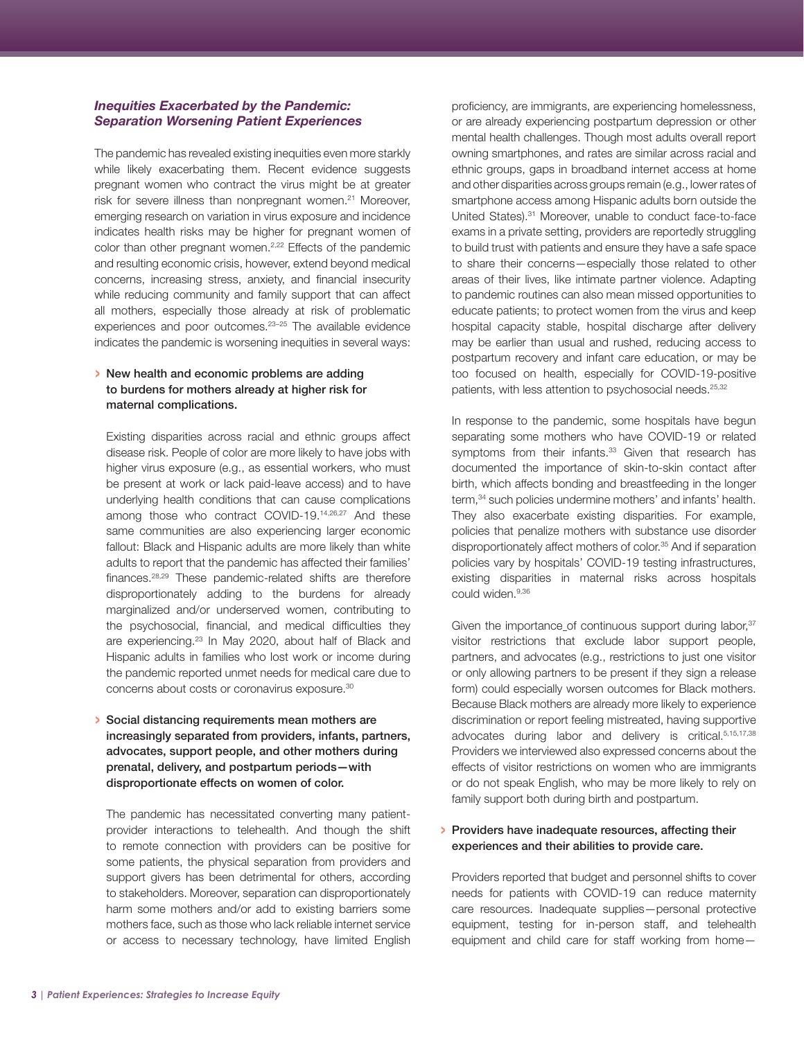### <span id="page-2-0"></span>*Inequities Exacerbated by the Pandemic: Separation Worsening Patient Experiences*

The pandemic has revealed existing inequities even more starkly while likely exacerbating them. Recent evidence suggests pregnant women who contract the virus might be at greater risk for severe illness than nonpregnant women.<sup>21</sup> Moreover, emerging research on variation in virus exposure and incidence indicates health risks may be higher for pregnant women of color than other pregnant women.<sup>2,22</sup> Effects of the pandemic and resulting economic crisis, however, extend beyond medical concerns, increasing stress, anxiety, and financial insecurity while reducing community and family support that can affect all mothers, especially those already at risk of problematic experiences and poor outcomes[.23–25](#page-7-0) The available evidence indicates the pandemic is worsening inequities in several ways:

# › New health and economic problems are adding to burdens for mothers already at higher risk for maternal complications.

Existing disparities across racial and ethnic groups affect disease risk. People of color are more likely to have jobs with higher virus exposure (e.g., as essential workers, who must be present at work or lack paid-leave access) and to have underlying health conditions that can cause complications among those who contract COVID-19.[14,26,27](#page-7-0) And these same communities are also experiencing larger economic fallout: Black and Hispanic adults are more likely than white adults to report that the pandemic has affected their families' finances.[28,29](#page-7-0) These pandemic-related shifts are therefore disproportionately adding to the burdens for already marginalized and/or underserved women, contributing to the psychosocial, financial, and medical difficulties they are experiencing.23 In May 2020, about half of Black and Hispanic adults in families who lost work or income during the pandemic reported unmet needs for medical care due to concerns about costs or coronavirus exposure.[30](#page-7-0)

› Social distancing requirements mean mothers are increasingly separated from providers, infants, partners, advocates, support people, and other mothers during prenatal, delivery, and postpartum periods—with disproportionate effects on women of color.

The pandemic has necessitated converting many patientprovider interactions to telehealth. And though the shift to remote connection with providers can be positive for some patients, the physical separation from providers and support givers has been detrimental for others, according to stakeholders. Moreover, separation can disproportionately harm some mothers and/or add to existing barriers some mothers face, such as those who lack reliable internet service or access to necessary technology, have limited English

proficiency, are immigrants, are experiencing homelessness, or are already experiencing postpartum depression or other mental health challenges. Though most adults overall report owning smartphones, and rates are similar across racial and ethnic groups, gaps in broadband internet access at home and other disparities across groups remain (e.g., lower rates of smartphone access among Hispanic adults born outside the United States)[.31](#page-7-0) Moreover, unable to conduct face-to-face exams in a private setting, providers are reportedly struggling to build trust with patients and ensure they have a safe space to share their concerns—especially those related to other areas of their lives, like intimate partner violence. Adapting to pandemic routines can also mean missed opportunities to educate patients; to protect women from the virus and keep hospital capacity stable, hospital discharge after delivery may be earlier than usual and rushed, reducing access to postpartum recovery and infant care education, or may be too focused on health, especially for COVID-19-positive patients, with less attention to psychosocial needs.<sup>[25,32](#page-7-0)</sup>

In response to the pandemic, some hospitals have begun separating some mothers who have COVID-19 or related symptoms from their infants.<sup>33</sup> Given that research has documented the importance of skin-to-skin contact after birth, which affects bonding and breastfeeding in the longer term,<sup>34</sup> such policies undermine mothers' and infants' health. They also exacerbate existing disparities. For example, policies that penalize mothers with substance use disorder disproportionately affect mothers of color.<sup>35</sup> And if separation policies vary by hospitals' COVID-19 testing infrastructures, existing disparities in maternal risks across hospitals could widen.<sup>[9,36](#page-7-0)</sup>

Given the importance of continuous support during labor, 37 visitor restrictions that exclude labor support people, partners, and advocates (e.g., restrictions to just one visitor or only allowing partners to be present if they sign a release form) could especially worsen outcomes for Black mothers. Because Black mothers are already more likely to experience discrimination or report feeling mistreated, having supportive advocates during labor and delivery is critical.<sup>5,15,17,38</sup> Providers we interviewed also expressed concerns about the effects of visitor restrictions on women who are immigrants or do not speak English, who may be more likely to rely on family support both during birth and postpartum.

#### › Providers have inadequate resources, affecting their experiences and their abilities to provide care.

Providers reported that budget and personnel shifts to cover needs for patients with COVID-19 can reduce maternity care resources. Inadequate supplies—personal protective equipment, testing for in-person staff, and telehealth equipment and child care for staff working from home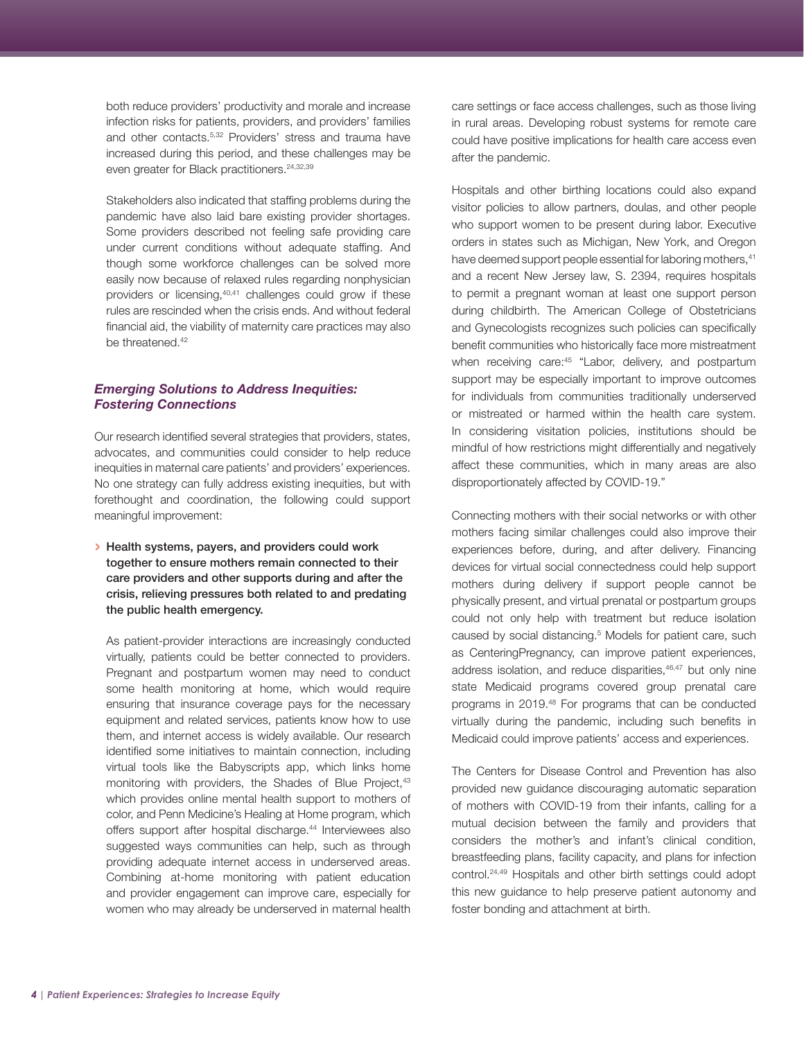<span id="page-3-0"></span>both reduce providers' productivity and morale and increase infection risks for patients, providers, and providers' families and other contacts.5,32 Providers' stress and trauma have increased during this period, and these challenges may be even greater for Black practitioners.<sup>24,32,39</sup>

Stakeholders also indicated that staffing problems during the pandemic have also laid bare existing provider shortages. Some providers described not feeling safe providing care under current conditions without adequate staffing. And though some workforce challenges can be solved more easily now because of relaxed rules regarding nonphysician providers or licensing,[40,41](#page-7-0) challenges could grow if these rules are rescinded when the crisis ends. And without federal financial aid, the viability of maternity care practices may also be threatened.<sup>42</sup>

# *Emerging Solutions to Address Inequities: Fostering Connections*

Our research identified several strategies that providers, states, advocates, and communities could consider to help reduce inequities in maternal care patients' and providers' experiences. No one strategy can fully address existing inequities, but with forethought and coordination, the following could support meaningful improvement:

› Health systems, payers, and providers could work together to ensure mothers remain connected to their care providers and other supports during and after the crisis, relieving pressures both related to and predating the public health emergency.

As patient-provider interactions are increasingly conducted virtually, patients could be better connected to providers. Pregnant and postpartum women may need to conduct some health monitoring at home, which would require ensuring that insurance coverage pays for the necessary equipment and related services, patients know how to use them, and internet access is widely available. Our research identified some initiatives to maintain connection, including virtual tools like the Babyscripts app, which links home monitoring with providers, the Shades of Blue Project,<sup>[43](#page-7-0)</sup> which provides online mental health support to mothers of color, and Penn Medicine's Healing at Home program, which offers support after hospital discharge.<sup>[44](#page-8-0)</sup> Interviewees also suggested ways communities can help, such as through providing adequate internet access in underserved areas. Combining at-home monitoring with patient education and provider engagement can improve care, especially for women who may already be underserved in maternal health care settings or face access challenges, such as those living in rural areas. Developing robust systems for remote care could have positive implications for health care access even after the pandemic.

Hospitals and other birthing locations could also expand visitor policies to allow partners, doulas, and other people who support women to be present during labor. Executive orders in states such as Michigan, New York, and Oregon have deemed support people essential for laboring mothers, 41 and a recent New Jersey law, S. 2394, requires hospitals to permit a pregnant woman at least one support person during childbirth. The American College of Obstetricians and Gynecologists recognizes such policies can specifically benefit communities who historically face more mistreatment when receiving care:<sup>45</sup> "Labor, delivery, and postpartum support may be especially important to improve outcomes for individuals from communities traditionally underserved or mistreated or harmed within the health care system. In considering visitation policies, institutions should be mindful of how restrictions might differentially and negatively affect these communities, which in many areas are also disproportionately affected by COVID-19."

Connecting mothers with their social networks or with other mothers facing similar challenges could also improve their experiences before, during, and after delivery. Financing devices for virtual social connectedness could help support mothers during delivery if support people cannot be physically present, and virtual prenatal or postpartum groups could not only help with treatment but reduce isolation caused by social distancing.<sup>5</sup> Models for patient care, such as CenteringPregnancy, can improve patient experiences, address isolation, and reduce disparities, 46,47 but only nine state Medicaid programs covered group prenatal care programs in 2019.[48](#page-8-0) For programs that can be conducted virtually during the pandemic, including such benefits in Medicaid could improve patients' access and experiences.

The Centers for Disease Control and Prevention has also provided new guidance discouraging automatic separation of mothers with COVID-19 from their infants, calling for a [mutual decision](https://www.youtube.com/watch?v=uMy9GBHePd8) between the family and providers that considers the mother's and infant's clinical condition, breastfeeding plans, facility capacity, and plans for infection control[.24,49](#page-8-0) Hospitals and other birth settings could adopt this new guidance to help preserve patient autonomy and foster bonding and attachment at birth.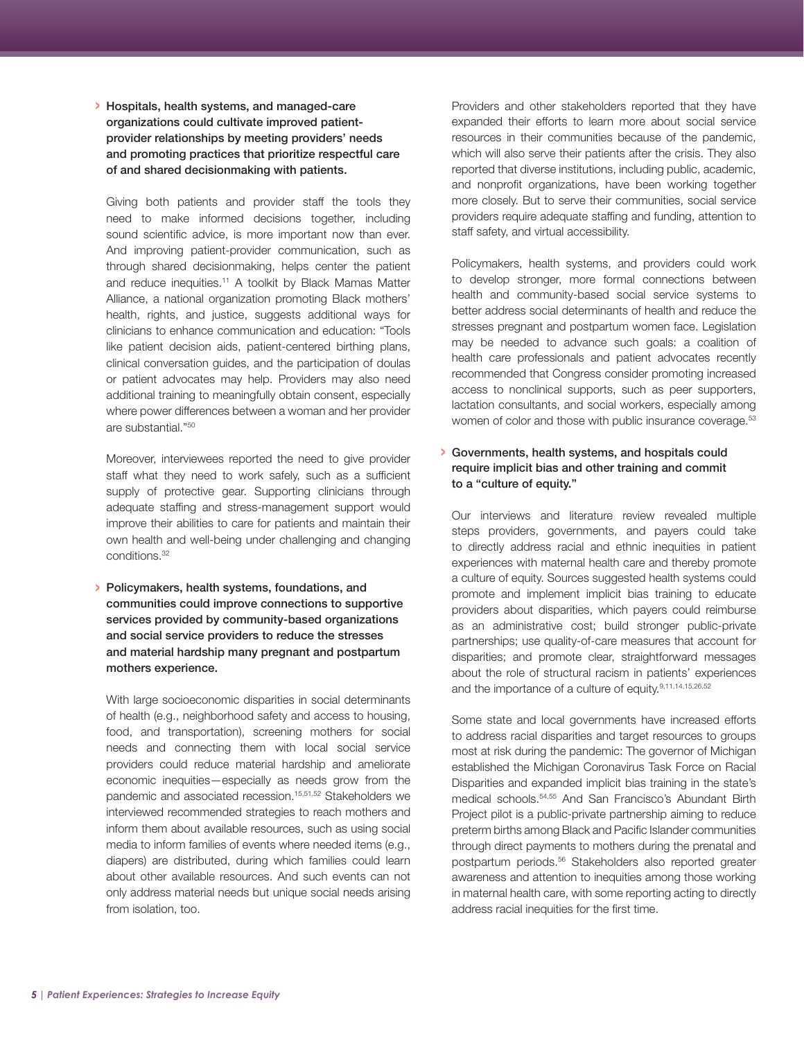# <span id="page-4-0"></span>› Hospitals, health systems, and managed-care organizations could cultivate improved patientprovider relationships by meeting providers' needs and promoting practices that prioritize respectful care of and shared decisionmaking with patients.

Giving both patients and provider staff the tools they need to make informed decisions together, including sound scientific advice, is more important now than ever. And improving patient-provider communication, such as through shared decisionmaking, helps center the patient and reduce inequities.<sup>11</sup> A toolkit by Black Mamas Matter Alliance, a national organization promoting Black mothers' health, rights, and justice, suggests additional ways for clinicians to enhance communication and education: "Tools like patient decision aids, patient-centered birthing plans, clinical conversation guides, and the participation of doulas or patient advocates may help. Providers may also need additional training to meaningfully obtain consent, especially where power differences between a woman and her provider are substantial."[50](#page-8-0)

Moreover, interviewees reported the need to give provider staff what they need to work safely, such as a sufficient supply of protective gear. Supporting clinicians through adequate staffing and stress-management support would improve their abilities to care for patients and maintain their own health and well-being under challenging and changing conditions.32

› Policymakers, health systems, foundations, and communities could improve connections to supportive services provided by community-based organizations and social service providers to reduce the stresses and material hardship many pregnant and postpartum mothers experience.

With large socioeconomic disparities in social determinants of health (e.g., neighborhood safety and access to housing, food, and transportation), screening mothers for social needs and connecting them with local social service providers could reduce material hardship and ameliorate economic inequities—especially as needs grow from the pandemic and associated recession.<sup>15,51,52</sup> Stakeholders we interviewed recommended strategies to reach mothers and inform them about available resources, such as using social media to inform families of events where needed items (e.g., diapers) are distributed, during which families could learn about other available resources. And such events can not only address material needs but unique social needs arising from isolation, too.

Providers and other stakeholders reported that they have expanded their efforts to learn more about social service resources in their communities because of the pandemic, which will also serve their patients after the crisis. They also reported that diverse institutions, including public, academic, and nonprofit organizations, have been working together more closely. But to serve their communities, social service providers require adequate staffing and funding, attention to staff safety, and virtual accessibility.

Policymakers, health systems, and providers could work to develop stronger, more formal connections between health and community-based social service systems to better address social determinants of health and reduce the stresses pregnant and postpartum women face. Legislation may be needed to advance such goals: a coalition of health care professionals and patient advocates recently recommended that Congress consider promoting increased access to nonclinical supports, such as peer supporters, lactation consultants, and social workers, especially among women of color and those with public insurance coverage.<sup>53</sup>

### › Governments, health systems, and hospitals could require implicit bias and other training and commit to a "culture of equity."

Our interviews and literature review revealed multiple steps providers, governments, and payers could take to directly address racial and ethnic inequities in patient experiences with maternal health care and thereby promote a culture of equity. Sources suggested health systems could promote and implement implicit bias training to educate providers about disparities, which payers could reimburse as an administrative cost; build stronger public-private partnerships; use quality-of-care measures that account for disparities; and promote clear, straightforward messages about the role of structural racism in patients' experiences and the importance of a culture of equity.<sup>9,11,14,15,26,52</sup>

Some state and local governments have increased efforts to address racial disparities and target resources to groups most at risk during the pandemic: The governor of Michigan established the Michigan Coronavirus Task Force on Racial Disparities and expanded implicit bias training in the state's medical schools.[54,55](#page-8-0) And San Francisco's Abundant Birth Project pilot is a public-private partnership aiming to reduce preterm births among Black and Pacific Islander communities through direct payments to mothers during the prenatal and postpartum periods[.56](#page-8-0) Stakeholders also reported greater awareness and attention to inequities among those working in maternal health care, with some reporting acting to directly address racial inequities for the first time.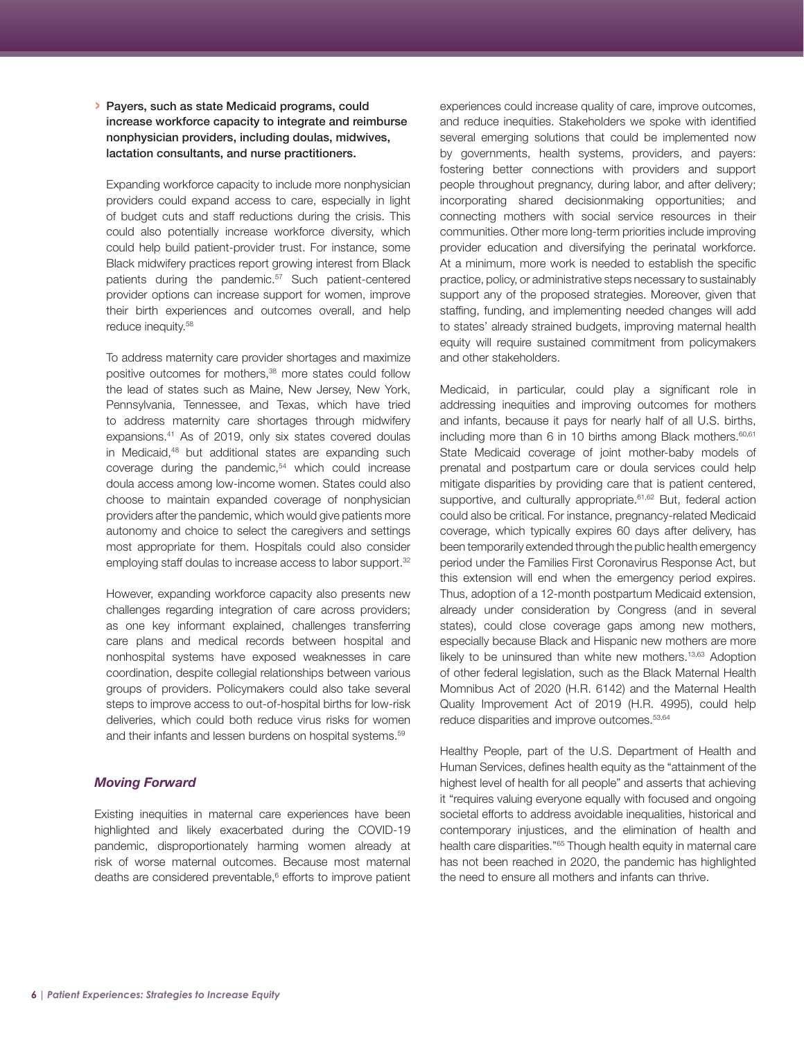### <span id="page-5-0"></span>› Payers, such as state Medicaid programs, could increase workforce capacity to integrate and reimburse nonphysician providers, including doulas, midwives, lactation consultants, and nurse practitioners.

Expanding workforce capacity to include more nonphysician providers could expand access to care, especially in light of budget cuts and staff reductions during the crisis. This could also potentially increase workforce diversity, which could help build patient-provider trust. For instance, some Black midwifery practices report growing interest from Black patients during the pandemic.<sup>[57](#page-8-0)</sup> Such patient-centered provider options can increase support for women, improve their birth experiences and outcomes overall, and help reduce inequity.[58](#page-8-0)

To address maternity care provider shortages and maximize positive outcomes for mothers,<sup>38</sup> more states could follow the lead of states such as Maine, New Jersey, New York, Pennsylvania, Tennessee, and Texas, which have tried to address maternity care shortages through midwifery expansions.<sup>41</sup> As of 2019, only [six](https://www.macpac.gov/publication/inventory-of-state-level-medicaid-policies-programs-and-initiatives-to-improve-maternity-care-and-outcomes/) states covered doulas in Medicaid,<sup>48</sup> but additional states are expanding such coverage during the pandemic,<sup>54</sup> which could increase doula access among low-income women. States could also choose to maintain expanded coverage of nonphysician providers after the pandemic, which would give patients more autonomy and choice to select the caregivers and settings most appropriate for them. Hospitals could also consider employing staff doulas to increase access to labor support.<sup>32</sup>

However, expanding workforce capacity also presents new challenges regarding integration of care across providers; as one key informant explained, challenges transferring care plans and medical records between hospital and nonhospital systems have exposed weaknesses in care coordination, despite collegial relationships between various groups of providers. Policymakers could also take several steps to improve access to out-of-hospital births for low-risk deliveries, which could both reduce virus risks for women and their infants and lessen burdens on hospital systems.<sup>[59](#page-8-0)</sup>

# *Moving Forward*

Existing inequities in maternal care experiences have been highlighted and likely exacerbated during the COVID-19 pandemic, disproportionately harming women already at risk of worse maternal outcomes. Because most maternal deaths are considered preventable,<sup>6</sup> efforts to improve patient experiences could increase quality of care, improve outcomes, and reduce inequities. Stakeholders we spoke with identified several emerging solutions that could be implemented now by governments, health systems, providers, and payers: fostering better connections with providers and support people throughout pregnancy, during labor, and after delivery; incorporating shared decisionmaking opportunities; and connecting mothers with social service resources in their communities. Other more long-term priorities include improving provider education and diversifying the perinatal workforce. At a minimum, more work is needed to establish the specific practice, policy, or administrative steps necessary to sustainably support any of the proposed strategies. Moreover, given that staffing, funding, and implementing needed changes will add to states' already strained budgets, improving maternal health equity will require sustained commitment from policymakers and other stakeholders.

Medicaid, in particular, could play a significant role in addressing inequities and improving outcomes for mothers and infants, because it pays for nearly half of all U.S. births, including more than  $6$  in 10 births among Black mothers.  $60,61$ State Medicaid coverage of joint mother-baby models of prenatal and postpartum care or doula services could help mitigate disparities by providing care that is patient centered, supportive, and culturally appropriate.<sup>61,62</sup> But, federal action could also be critical. For instance, pregnancy-related Medicaid coverage, which typically expires 60 days after delivery, has been temporarily extended through the public health emergency period under the Families First Coronavirus Response Act, but this extension will end when the emergency period expires. Thus, adoption of a 12-month postpartum Medicaid extension, already under consideration by Congress (and in several states), could close coverage gaps among new mothers, especially because Black and Hispanic new mothers are more likely to be uninsured than white new mothers.<sup>13,63</sup> Adoption of other federal legislation, such as the Black Maternal Health Momnibus Act of 2020 (H.R. 6142) and the Maternal Health Quality Improvement Act of 2019 (H.R. 4995), could help reduce disparities and improve outcomes[.53,64](#page-8-0)

Healthy People, part of the U.S. Department of Health and Human Services, defines health equity as the "attainment of the highest level of health for all people" and asserts that achieving it "requires valuing everyone equally with focused and ongoing societal efforts to address avoidable inequalities, historical and contemporary injustices, and the elimination of health and health care disparities.["65](#page-8-0) Though health equity in maternal care has not been reached in 2020, the pandemic has highlighted the need to ensure all mothers and infants can thrive.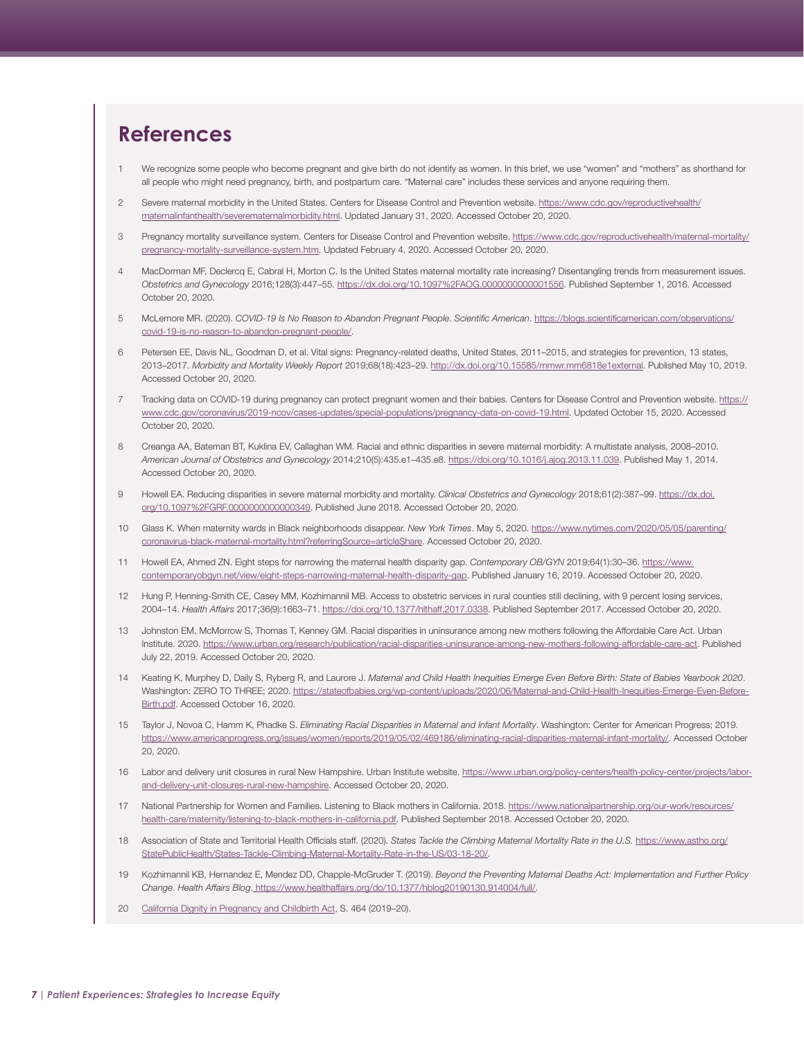# <span id="page-6-0"></span>**References**

- [1](#page-1-0) We recognize some people who become pregnant and give birth do not identify as women. In this brief, we use "women" and "mothers" as shorthand for all people who might need pregnancy, birth, and postpartum care. "Maternal care" includes these services and anyone requiring them.
- [2](#page-1-0) Severe maternal morbidity in the United States. Centers for Disease Control and Prevention website. [https://www.cdc.gov/reproductivehealth/](https://www.cdc.gov/reproductivehealth/maternalinfanthealth/severematernalmorbidity.html) [maternalinfanthealth/severematernalmorbidity.html.](https://www.cdc.gov/reproductivehealth/maternalinfanthealth/severematernalmorbidity.html) Updated January 31, 2020. Accessed October 20, 2020.
- 3 Pregnancy mortality surveillance system. Centers for Disease Control and Prevention website. [https://www.cdc.gov/reproductivehealth/maternal-mortality/](https://www.cdc.gov/reproductivehealth/maternal-mortality/pregnancy-mortality-surveillance-system.htm) [pregnancy-mortality-surveillance-system.htm.](https://www.cdc.gov/reproductivehealth/maternal-mortality/pregnancy-mortality-surveillance-system.htm) Updated February 4, 2020. Accessed October 20, 2020.
- 4 MacDorman MF, Declercq E, Cabral H, Morton C. Is the United States maternal mortality rate increasing? Disentangling trends from measurement issues. *Obstetrics and Gynecology* 2016;128(3):447–55. [https://dx.doi.org/10.1097%2FAOG.0000000000001556.](https://dx.doi.org/10.1097%2FAOG.0000000000001556) Published September 1, 2016. Accessed October 20, 2020.
- 5 McLemore MR. (2020). *COVID-19 Is No Reason to Abandon Pregnant People*. *Scientific American*. [https://blogs.scientificamerican.com/observations/](https://blogs.scientificamerican.com/observations/covid-19-is-no-reason-to-abandon-pregnant-people/) [covid-19-is-no-reason-to-abandon-pregnant-people/.](https://blogs.scientificamerican.com/observations/covid-19-is-no-reason-to-abandon-pregnant-people/)
- Petersen EE, Davis NL, Goodman D, et al. Vital signs: Pregnancy-related deaths, United States, 2011-2015, and strategies for prevention, 13 states, 2013–2017. *Morbidity and Mortality Weekly Report* 2019;68(18):423–29. [http://dx.doi.org/10.15585/mmwr.mm6818e1external.](http://dx.doi.org/10.15585/mmwr.mm6818e1external) Published May 10, 2019. Accessed October 20, 2020.
- 7 Tracking data on COVID-19 during pregnancy can protect pregnant women and their babies. Centers for Disease Control and Prevention website. [https://](https://www.cdc.gov/coronavirus/2019-ncov/cases-updates/special-populations/pregnancy-data-on-covid-19.html) [www.cdc.gov/coronavirus/2019-ncov/cases-updates/special-populations/pregnancy-data-on-covid-19.html](https://www.cdc.gov/coronavirus/2019-ncov/cases-updates/special-populations/pregnancy-data-on-covid-19.html). Updated October 15, 2020. Accessed October 20, 2020.
- 8 Creanga AA, Bateman BT, Kuklina EV, Callaghan WM. Racial and ethnic disparities in severe maternal morbidity: A multistate analysis, 2008–2010. *American Journal of Obstetrics and Gynecology* 2014;210(5):435.e1–435.e8. [https://doi.org/10.1016/j.ajog.2013.11.039.](https://doi.org/10.1016/j.ajog.2013.11.039) Published May 1, 2014. Accessed October 20, 2020.
- [9](#page-1-0) Howell EA. Reducing disparities in severe maternal morbidity and mortality. *Clinical Obstetrics and Gynecology* 2018;61(2):387–99. [https://dx.doi.](https://dx.doi.org/10.1097%2FGRF.0000000000000349) [org/10.1097%2FGRF.0000000000000349](https://dx.doi.org/10.1097%2FGRF.0000000000000349). Published June 2018. Accessed October 20, 2020.
- 10 Glass K. When maternity wards in Black neighborhoods disappear. *New York Times*. May 5, 2020. [https://www.nytimes.com/2020/05/05/parenting/](https://www.nytimes.com/2020/05/05/parenting/coronavirus-black-maternal-mortality.html?referringSource=articleShare) [coronavirus-black-maternal-mortality.html?referringSource=articleShare.](https://www.nytimes.com/2020/05/05/parenting/coronavirus-black-maternal-mortality.html?referringSource=articleShare) Accessed October 20, 2020.
- 11 Howell EA, Ahmed ZN. Eight steps for narrowing the maternal health disparity gap. *Contemporary OB/GYN* 2019;64(1):30–36. [https://www.](https://www.contemporaryobgyn.net/view/eight-steps-narrowing-maternal-health-disparity-gap) [contemporaryobgyn.net/view/eight-steps-narrowing-maternal-health-disparity-gap.](https://www.contemporaryobgyn.net/view/eight-steps-narrowing-maternal-health-disparity-gap) Published January 16, 2019. Accessed October 20, 2020.
- 12 Hung P, Henning-Smith CE, Casey MM, Kozhimannil MB. Access to obstetric services in rural counties still declining, with 9 percent losing services, 2004–14. *Health Affairs* 2017;36(9):1663–71. [https://doi.org/10.1377/hlthaff.2017.0338.](https://doi.org/10.1377/hlthaff.2017.0338) Published September 2017. Accessed October 20, 2020.
- 13 Johnston EM, McMorrow S, Thomas T, Kenney GM. Racial disparities in uninsurance among new mothers following the Affordable Care Act. Urban Institute. 2020. <https://www.urban.org/research/publication/racial-disparities-uninsurance-among-new-mothers-following-affordable-care-act>. Published July 22, 2019. Accessed October 20, 2020.
- 14 Keating K, Murphey D, Daily S, Ryberg R, and Laurore J. *Maternal and Child Health Inequities Emerge Even Before Birth: State of Babies Yearbook 2020*. Washington: ZERO TO THREE; 2020. [https://stateofbabies.org/wp-content/uploads/2020/06/Maternal-and-Child-Health-Inequities-Emerge-Even-Before-](https://stateofbabies.org/wp-content/uploads/2020/06/Maternal-and-Child-Health-Inequities-Emerge-Even-Before-Birth.pdf)[Birth.pdf.](https://stateofbabies.org/wp-content/uploads/2020/06/Maternal-and-Child-Health-Inequities-Emerge-Even-Before-Birth.pdf) Accessed October 16, 2020.
- 15 Taylor J, Novoa C, Hamm K, Phadke S. *Eliminating Racial Disparities in Maternal and Infant Mortality*. Washington: Center for American Progress; 2019. <https://www.americanprogress.org/issues/women/reports/2019/05/02/469186/eliminating-racial-disparities-maternal-infant-mortality/>. Accessed October 20, 2020.
- [16](#page-1-0) Labor and delivery unit closures in rural New Hampshire. Urban Institute website. [https://www.urban.org/policy-centers/health-policy-center/projects/labor](https://www.urban.org/policy-centers/health-policy-center/projects/labor-and-delivery-unit-closures-rural-new-hampshire)[and-delivery-unit-closures-rural-new-hampshire](https://www.urban.org/policy-centers/health-policy-center/projects/labor-and-delivery-unit-closures-rural-new-hampshire). Accessed October 20, 2020.
- [17](#page-1-0) National Partnership for Women and Families. Listening to Black mothers in California. 2018. [https://www.nationalpartnership.org/our-work/resources/](https://www.nationalpartnership.org/our-work/resources/health-care/maternity/listening-to-black-mothers-in-california.pdf) [health-care/maternity/listening-to-black-mothers-in-california.pdf.](https://www.nationalpartnership.org/our-work/resources/health-care/maternity/listening-to-black-mothers-in-california.pdf) Published September 2018. Accessed October 20, 2020.
- [18](#page-1-0) Association of State and Territorial Health Officials staff. (2020). States Tackle the Climbing Maternal Mortality Rate in the U.S. [https://www.astho.org/](https://www.astho.org/StatePublicHealth/States-Tackle-Climbing-Maternal-Mortality-Rate-in-the-US/03-18-20/) [StatePublicHealth/States-Tackle-Climbing-Maternal-Mortality-Rate-in-the-US/03-18-20/.](https://www.astho.org/StatePublicHealth/States-Tackle-Climbing-Maternal-Mortality-Rate-in-the-US/03-18-20/)
- 19 Kozhimannil KB, Hernandez E, Mendez DD, Chapple-McGruder T. (2019). *Beyond the Preventing Maternal Deaths Act: Implementation and Further Policy Change*. *Health Affairs Blog*. [https://www.healthaffairs.org/do/10.1377/hblog20190130.914004/full/.](https://www.healthaffairs.org/do/10.1377/hblog20190130.914004/full/)
- [20](#page-1-0) [California Dignity in Pregnancy and Childbirth Act](https://leginfo.legislature.ca.gov/faces/billNavClient.xhtml?bill_id=201920200SB464), S. 464 (2019-20).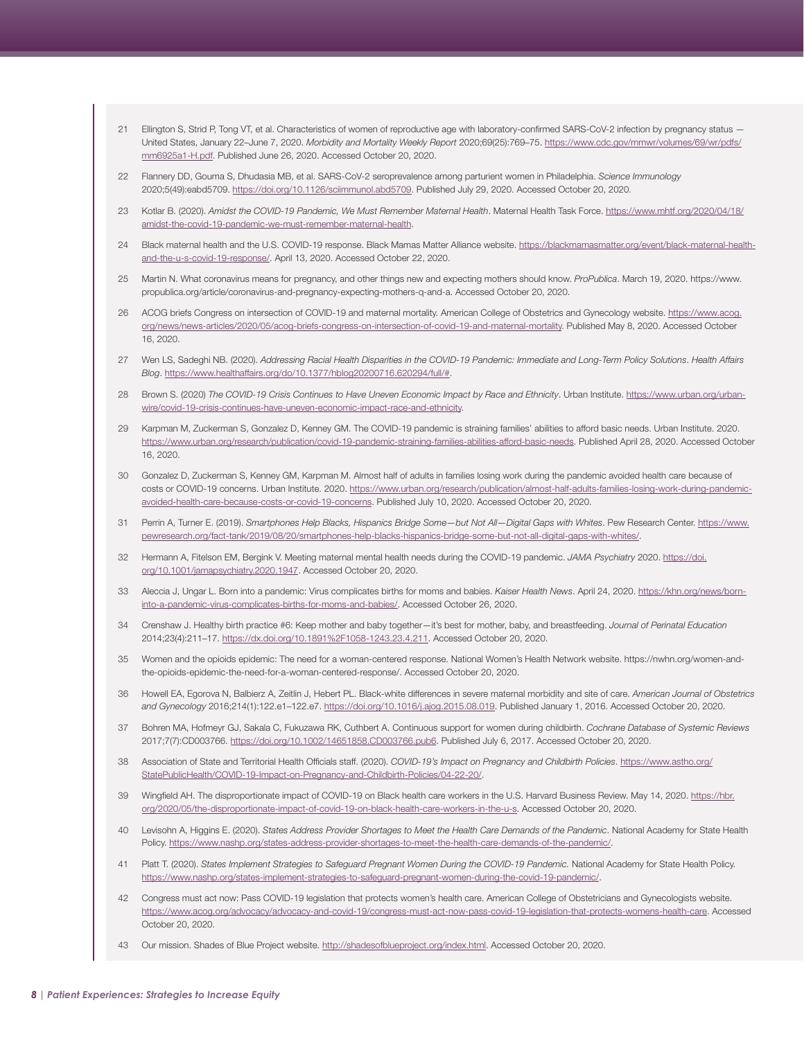- <span id="page-7-0"></span>[21](#page-2-0) Ellington S, Strid P, Tong VT, et al. Characteristics of women of reproductive age with laboratory-confirmed SARS-CoV-2 infection by pregnancy status -United States, January 22–June 7, 2020. *Morbidity and Mortality Weekly Report* 2020;69(25):769–75. [https://www.cdc.gov/mmwr/volumes/69/wr/pdfs/](https://www.cdc.gov/mmwr/volumes/69/wr/pdfs/mm6925a1-H.pdf) [mm6925a1-H.pdf](https://www.cdc.gov/mmwr/volumes/69/wr/pdfs/mm6925a1-H.pdf). Published June 26, 2020. Accessed October 20, 2020.
- [22](#page-2-0) Flannery DD, Gouma S, Dhudasia MB, et al. SARS-CoV-2 seroprevalence among parturient women in Philadelphia. *Science Immunology* 2020;5(49):eabd5709.<https://doi.org/10.1126/sciimmunol.abd5709>. Published July 29, 2020. Accessed October 20, 2020.
- [23](#page-2-0) Kotlar B. (2020). *Amidst the COVID-19 Pandemic, We Must Remember Maternal Health*. Maternal Health Task Force. [https://www.mhtf.org/2020/04/18/](https://www.mhtf.org/2020/04/18/amidst-the-covid-19-pandemic-we-must-remember-maternal-health) [amidst-the-covid-19-pandemic-we-must-remember-maternal-health](https://www.mhtf.org/2020/04/18/amidst-the-covid-19-pandemic-we-must-remember-maternal-health).
- 24 Black maternal health and the U.S. COVID-19 response. Black Mamas Matter Alliance website. [https://blackmamasmatter.org/event/black-maternal-health](https://blackmamasmatter.org/event/black-maternal-health-and-the-u-s-covid-19-response/)[and-the-u-s-covid-19-response/](https://blackmamasmatter.org/event/black-maternal-health-and-the-u-s-covid-19-response/). April 13, 2020. Accessed October 22, 2020.
- [25](#page-2-0) Martin N. What coronavirus means for pregnancy, and other things new and expecting mothers should know. *ProPublica*. March 19, 2020. [https://www.](https://www.propublica.org/article/coronavirus-and-pregnancy-expecting-mothers-q-and-a) [propublica.org/article/coronavirus-and-pregnancy-expecting-mothers-q-and-a](https://www.propublica.org/article/coronavirus-and-pregnancy-expecting-mothers-q-and-a). Accessed October 20, 2020.
- [26](#page-2-0) ACOG briefs Congress on intersection of COVID-19 and maternal mortality. American College of Obstetrics and Gynecology website. [https://www.acog.](https://www.acog.org/news/news-articles/2020/05/acog-briefs-congress-on-intersection-of-covid-19-and-maternal-mortality) [org/news/news-articles/2020/05/acog-briefs-congress-on-intersection-of-covid-19-and-maternal-mortality.](https://www.acog.org/news/news-articles/2020/05/acog-briefs-congress-on-intersection-of-covid-19-and-maternal-mortality) Published May 8, 2020. Accessed October 16, 2020.
- [27](#page-2-0) Wen LS, Sadeghi NB. (2020). *Addressing Racial Health Disparities in the COVID-19 Pandemic: Immediate and Long-Term Policy Solutions*. *Health Affairs Blog*. [https://www.healthaffairs.org/do/10.1377/hblog20200716.620294/full/#.](https://www.healthaffairs.org/do/10.1377/hblog20200716.620294/full/)
- [28](#page-2-0) Brown S. (2020) *The COVID-19 Crisis Continues to Have Uneven Economic Impact by Race and Ethnicity*. Urban Institute. [https://www.urban.org/urban](https://www.urban.org/urban-wire/covid-19-crisis-continues-have-uneven-economic-impact-race-and-ethnicity)[wire/covid-19-crisis-continues-have-uneven-economic-impact-race-and-ethnicity](https://www.urban.org/urban-wire/covid-19-crisis-continues-have-uneven-economic-impact-race-and-ethnicity).
- [29](#page-2-0) Karpman M, Zuckerman S, Gonzalez D, Kenney GM. The COVID-19 pandemic is straining families' abilities to afford basic needs. Urban Institute. 2020. <https://www.urban.org/research/publication/covid-19-pandemic-straining-families-abilities-afford-basic-needs>. Published April 28, 2020. Accessed October 16, 2020.
- [30](#page-2-0) Gonzalez D, Zuckerman S, Kenney GM, Karpman M. Almost half of adults in families losing work during the pandemic avoided health care because of costs or COVID-19 concerns. Urban Institute. 2020. [https://www.urban.org/research/publication/almost-half-adults-families-losing-work-during-pandemic](https://www.urban.org/research/publication/almost-half-adults-families-losing-work-during-pandemic-avoided-health-care-because-costs-or-covid-19-concerns)[avoided-health-care-because-costs-or-covid-19-concerns](https://www.urban.org/research/publication/almost-half-adults-families-losing-work-during-pandemic-avoided-health-care-because-costs-or-covid-19-concerns). Published July 10, 2020. Accessed October 20, 2020.
- [31](#page-2-0) Perrin A, Turner E. (2019). *Smartphones Help Blacks, Hispanics Bridge Some—but Not All—Digital Gaps with Whites*. Pew Research Center. [https://www.](https://www.pewresearch.org/fact-tank/2019/08/20/smartphones-help-blacks-hispanics-bridge-some-but-not-all-digital-gaps-with-whites/) [pewresearch.org/fact-tank/2019/08/20/smartphones-help-blacks-hispanics-bridge-some-but-not-all-digital-gaps-with-whites/.](https://www.pewresearch.org/fact-tank/2019/08/20/smartphones-help-blacks-hispanics-bridge-some-but-not-all-digital-gaps-with-whites/)
- [32](#page-2-0) Hermann A, Fitelson EM, Bergink V. Meeting maternal mental health needs during the COVID-19 pandemic. *JAMA Psychiatry* 2020. [https://doi.](https://doi.org/10.1001/jamapsychiatry.2020.1947) [org/10.1001/jamapsychiatry.2020.1947](https://doi.org/10.1001/jamapsychiatry.2020.1947). Accessed October 20, 2020.
- [33](#page-2-0) Aleccia J, Ungar L. Born into a pandemic: Virus complicates births for moms and babies. *Kaiser Health News*. April 24, 2020. [https://khn.org/news/born](https://khn.org/news/born-into-a-pandemic-virus-complicates-births-for-moms-and-babies/)[into-a-pandemic-virus-complicates-births-for-moms-and-babies/.](https://khn.org/news/born-into-a-pandemic-virus-complicates-births-for-moms-and-babies/) Accessed October 26, 2020.
- [34](#page-2-0) Crenshaw J. Healthy birth practice #6: Keep mother and baby together—it's best for mother, baby, and breastfeeding. *Journal of Perinatal Education* 2014;23(4):211–17.<https://dx.doi.org/10.1891%2F1058-1243.23.4.211>. Accessed October 20, 2020.
- [35](#page-2-0) Women and the opioids epidemic: The need for a woman-centered response. National Women's Health Network website. [https://nwhn.org/women-and](https://nwhn.org/women-and-the-opioids-epidemic-the-need-for-a-woman-centered-response/)[the-opioids-epidemic-the-need-for-a-woman-centered-response/](https://nwhn.org/women-and-the-opioids-epidemic-the-need-for-a-woman-centered-response/). Accessed October 20, 2020.
- [36](#page-2-0) Howell EA, Egorova N, Balbierz A, Zeitlin J, Hebert PL. Black-white differences in severe maternal morbidity and site of care. *American Journal of Obstetrics and Gynecology* 2016;214(1):122.e1–122.e7. [https://doi.org/10.1016/j.ajog.2015.08.019.](https://doi.org/10.1016/j.ajog.2015.08.019) Published January 1, 2016. Accessed October 20, 2020.
- [37](#page-2-0) Bohren MA, Hofmeyr GJ, Sakala C, Fukuzawa RK, Cuthbert A. Continuous support for women during childbirth. *Cochrane Database of Systemic Reviews* 2017;7(7):CD003766. <https://doi.org/10.1002/14651858.CD003766.pub6>. Published July 6, 2017. Accessed October 20, 2020.
- [38](#page-2-0) Association of State and Territorial Health Officials staff. (2020). *COVID-19's Impact on Pregnancy and Childbirth Policies*. [https://www.astho.org/](https://www.astho.org/StatePublicHealth/COVID-19-Impact-on-Pregnancy-and-Childbirth-Policies/04-22-20/) [StatePublicHealth/COVID-19-Impact-on-Pregnancy-and-Childbirth-Policies/04-22-20/.](https://www.astho.org/StatePublicHealth/COVID-19-Impact-on-Pregnancy-and-Childbirth-Policies/04-22-20/)
- [39](#page-3-0) Wingfield AH. The disproportionate impact of COVID-19 on Black health care workers in the U.S. Harvard Business Review. May 14, 2020. [https://hbr.](https://hbr.org/2020/05/the-disproportionate-impact-of-covid-19-on-black-health-care-workers-in-the-u-s) [org/2020/05/the-disproportionate-impact-of-covid-19-on-black-health-care-workers-in-the-u-s.](https://hbr.org/2020/05/the-disproportionate-impact-of-covid-19-on-black-health-care-workers-in-the-u-s) Accessed October 20, 2020.
- [40](#page-3-0) Levisohn A, Higgins E. (2020). *States Address Provider Shortages to Meet the Health Care Demands of the Pandemic*. National Academy for State Health Policy.<https://www.nashp.org/states-address-provider-shortages-to-meet-the-health-care-demands-of-the-pandemic/>.
- [41](#page-3-0) Platt T. (2020). States Implement Strategies to Safeguard Pregnant Women During the COVID-19 Pandemic. National Academy for State Health Policy. <https://www.nashp.org/states-implement-strategies-to-safeguard-pregnant-women-during-the-covid-19-pandemic/>.
- [42](#page-3-0) Congress must act now: Pass COVID-19 legislation that protects women's health care. American College of Obstetricians and Gynecologists website. [https://www.acog.org/advocacy/advocacy-and-covid-19/congress-must-act-now-pass-covid-19-legislation-that-protects-womens-health-care.](https://www.acog.org/advocacy/advocacy-and-covid-19/congress-must-act-now-pass-covid-19-legislation-that-protects-womens-health-care) Accessed October 20, 2020.
- [43](#page-3-0) Our mission. Shades of Blue Project website. <http://shadesofblueproject.org/index.html>. Accessed October 20, 2020.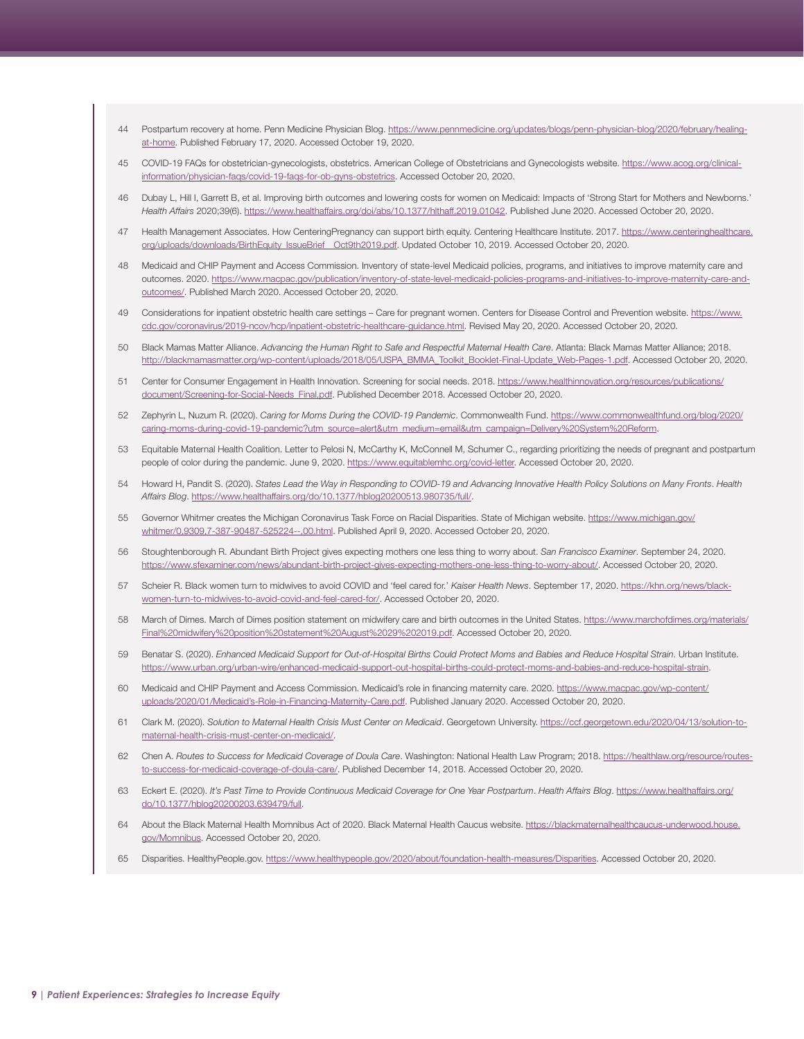- <span id="page-8-0"></span>[44](#page-3-0) Postpartum recovery at home. Penn Medicine Physician Blog. [https://www.pennmedicine.org/updates/blogs/penn-physician-blog/2020/february/healing](https://www.pennmedicine.org/updates/blogs/penn-physician-blog/2020/february/healing-at-home)[at-home](https://www.pennmedicine.org/updates/blogs/penn-physician-blog/2020/february/healing-at-home). Published February 17, 2020. Accessed October 19, 2020.
- [45](#page-3-0) COVID-19 FAQs for obstetrician-gynecologists, obstetrics. American College of Obstetricians and Gynecologists website. [https://www.acog.org/clinical](https://www.acog.org/clinical-information/physician-faqs/covid-19-faqs-for-ob-gyns-obstetrics)[information/physician-faqs/covid-19-faqs-for-ob-gyns-obstetrics](https://www.acog.org/clinical-information/physician-faqs/covid-19-faqs-for-ob-gyns-obstetrics). Accessed October 20, 2020.
- Dubay L, Hill I, Garrett B, et al. Improving birth outcomes and lowering costs for women on Medicaid: Impacts of 'Strong Start for Mothers and Newborns.' *Health Affairs* 2020;39(6). [https://www.healthaffairs.org/doi/abs/10.1377/hlthaff.2019.01042.](https://www.healthaffairs.org/doi/abs/10.1377/hlthaff.2019.01042) Published June 2020. Accessed October 20, 2020.
- [47](#page-3-0) Health Management Associates. How CenteringPregnancy can support birth equity. Centering Healthcare Institute. 2017. [https://www.centeringhealthcare.](https://www.centeringhealthcare.org/uploads/downloads/BirthEquity_IssueBrief__Oct9th2019.pdf) [org/uploads/downloads/BirthEquity\\_IssueBrief\\_\\_Oct9th2019.pdf](https://www.centeringhealthcare.org/uploads/downloads/BirthEquity_IssueBrief__Oct9th2019.pdf). Updated October 10, 2019. Accessed October 20, 2020.
- [48](#page-3-0) Medicaid and CHIP Payment and Access Commission. Inventory of state-level Medicaid policies, programs, and initiatives to improve maternity care and outcomes. 2020. [https://www.macpac.gov/publication/inventory-of-state-level-medicaid-policies-programs-and-initiatives-to-improve-maternity-care-and](https://www.macpac.gov/publication/inventory-of-state-level-medicaid-policies-programs-and-initiatives-to-improve-maternity-care-and-outcomes/)[outcomes/](https://www.macpac.gov/publication/inventory-of-state-level-medicaid-policies-programs-and-initiatives-to-improve-maternity-care-and-outcomes/). Published March 2020. Accessed October 20, 2020.
- [49](#page-3-0) Considerations for inpatient obstetric health care settings Care for pregnant women. Centers for Disease Control and Prevention website. [https://www.](https://www.cdc.gov/coronavirus/2019-ncov/hcp/inpatient-obstetric-healthcare-guidance.html) [cdc.gov/coronavirus/2019-ncov/hcp/inpatient-obstetric-healthcare-guidance.html.](https://www.cdc.gov/coronavirus/2019-ncov/hcp/inpatient-obstetric-healthcare-guidance.html) Revised May 20, 2020. Accessed October 20, 2020.
- [50](#page-4-0) Black Mamas Matter Alliance. *Advancing the Human Right to Safe and Respectful Maternal Health Care*. Atlanta: Black Mamas Matter Alliance; 2018. [http://blackmamasmatter.org/wp-content/uploads/2018/05/USPA\\_BMMA\\_Toolkit\\_Booklet-Final-Update\\_Web-Pages-1.pdf](http://blackmamasmatter.org/wp-content/uploads/2018/05/USPA_BMMA_Toolkit_Booklet-Final-Update_Web-Pages-1.pdf). Accessed October 20, 2020.
- [51](#page-4-0) Center for Consumer Engagement in Health Innovation. Screening for social needs. 2018. [https://www.healthinnovation.org/resources/publications/](https://www.healthinnovation.org/resources/publications/document/Screening-for-Social-Needs_Final.pdf) [document/Screening-for-Social-Needs\\_Final.pdf](https://www.healthinnovation.org/resources/publications/document/Screening-for-Social-Needs_Final.pdf). Published December 2018. Accessed October 20, 2020.
- [52](#page-4-0) Zephyrin L, Nuzum R. (2020). *Caring for Moms During the COVID-19 Pandemic*. Commonwealth Fund. [https://www.commonwealthfund.org/blog/2020/](https://www.commonwealthfund.org/blog/2020/caring-moms-during-covid-19-pandemic?utm_source=alert&utm_medium=email&utm_campaign=Delivery%20System%20Reform) [caring-moms-during-covid-19-pandemic?utm\\_source=alert&utm\\_medium=email&utm\\_campaign=Delivery%20System%20Reform](https://www.commonwealthfund.org/blog/2020/caring-moms-during-covid-19-pandemic?utm_source=alert&utm_medium=email&utm_campaign=Delivery%20System%20Reform).
- [53](#page-4-0) Equitable Maternal Health Coalition. Letter to Pelosi N, McCarthy K, McConnell M, Schumer C., regarding prioritizing the needs of pregnant and postpartum people of color during the pandemic. June 9, 2020. [https://www.equitablemhc.org/covid-letter.](https://www.equitablemhc.org/covid-letter) Accessed October 20, 2020.
- [54](#page-4-0) Howard H, Pandit S. (2020). *States Lead the Way in Responding to COVID-19 and Advancing Innovative Health Policy Solutions on Many Fronts*. *Health Affairs Blog*.<https://www.healthaffairs.org/do/10.1377/hblog20200513.980735/full/>.
- [55](#page-4-0) Governor Whitmer creates the Michigan Coronavirus Task Force on Racial Disparities. State of Michigan website. [https://www.michigan.gov/](https://www.michigan.gov/whitmer/0,9309,7-387-90487-525224--,00.html) [whitmer/0,9309,7-387-90487-525224--,00.html.](https://www.michigan.gov/whitmer/0,9309,7-387-90487-525224--,00.html) Published April 9, 2020. Accessed October 20, 2020.
- [56](#page-4-0) Stoughtenborough R. Abundant Birth Project gives expecting mothers one less thing to worry about. *San Francisco Examiner*. September 24, 2020. [https://www.sfexaminer.com/news/abundant-birth-project-gives-expecting-mothers-one-less-thing-to-worry-about/.](https://www.sfexaminer.com/news/abundant-birth-project-gives-expecting-mothers-one-less-thing-to-worry-about/) Accessed October 20, 2020.
- [57](#page-5-0) Scheier R. Black women turn to midwives to avoid COVID and 'feel cared for.' *Kaiser Health News*. September 17, 2020. [https://khn.org/news/black](https://khn.org/news/black-women-turn-to-midwives-to-avoid-covid-and-feel-cared-for/)[women-turn-to-midwives-to-avoid-covid-and-feel-cared-for/](https://khn.org/news/black-women-turn-to-midwives-to-avoid-covid-and-feel-cared-for/). Accessed October 20, 2020.
- [58](#page-5-0) March of Dimes. March of Dimes position statement on midwifery care and birth outcomes in the United States. [https://www.marchofdimes.org/materials/](https://www.marchofdimes.org/materials/Final%20midwifery%20position%20statement%20August%2029%202019.pdf) [Final%20midwifery%20position%20statement%20August%2029%202019.pdf](https://www.marchofdimes.org/materials/Final%20midwifery%20position%20statement%20August%2029%202019.pdf). Accessed October 20, 2020.
- [59](#page-5-0) Benatar S. (2020). *Enhanced Medicaid Support for Out-of-Hospital Births Could Protect Moms and Babies and Reduce Hospital Strain*. Urban Institute. [https://www.urban.org/urban-wire/enhanced-medicaid-support-out-hospital-births-could-protect-moms-and-babies-and-reduce-hospital-strain.](https://www.urban.org/urban-wire/enhanced-medicaid-support-out-hospital-births-could-protect-moms-and-babies-and-reduce-hospital-strain)
- [60](#page-5-0) Medicaid and CHIP Payment and Access Commission. Medicaid's role in financing maternity care. 2020. [https://www.macpac.gov/wp-content/](https://www.macpac.gov/wp-content/uploads/2020/01/Medicaid’s-Role-in-Financing-Maternity-Care.pdf) [uploads/2020/01/Medicaid's-Role-in-Financing-Maternity-Care.pdf](https://www.macpac.gov/wp-content/uploads/2020/01/Medicaid’s-Role-in-Financing-Maternity-Care.pdf). Published January 2020. Accessed October 20, 2020.
- [61](#page-5-0) Clark M. (2020). *Solution to Maternal Health Crisis Must Center on Medicaid*. Georgetown University. [https://ccf.georgetown.edu/2020/04/13/solution-to](https://ccf.georgetown.edu/2020/04/13/solution-to-maternal-health-crisis-must-center-on-medicaid/)[maternal-health-crisis-must-center-on-medicaid/.](https://ccf.georgetown.edu/2020/04/13/solution-to-maternal-health-crisis-must-center-on-medicaid/)
- [62](#page-5-0) Chen A. *Routes to Success for Medicaid Coverage of Doula Care*. Washington: National Health Law Program; 2018. [https://healthlaw.org/resource/routes](https://healthlaw.org/resource/routes-to-success-for-medicaid-coverage-of-doula-care/)[to-success-for-medicaid-coverage-of-doula-care/](https://healthlaw.org/resource/routes-to-success-for-medicaid-coverage-of-doula-care/). Published December 14, 2018. Accessed October 20, 2020.
- [63](#page-5-0) Eckert E. (2020). *It's Past Time to Provide Continuous Medicaid Coverage for One Year Postpartum*. *Health Affairs Blog*. [https://www.healthaffairs.org/](https://www.healthaffairs.org/do/10.1377/hblog20200203.639479/full) [do/10.1377/hblog20200203.639479/full.](https://www.healthaffairs.org/do/10.1377/hblog20200203.639479/full)
- [64](#page-5-0) About the Black Maternal Health Momnibus Act of 2020. Black Maternal Health Caucus website. [https://blackmaternalhealthcaucus-underwood.house.](https://blackmaternalhealthcaucus-underwood.house.gov/Momnibus) [gov/Momnibus](https://blackmaternalhealthcaucus-underwood.house.gov/Momnibus). Accessed October 20, 2020.
- [65](#page-5-0) Disparities. HealthyPeople.gov. <https://www.healthypeople.gov/2020/about/foundation-health-measures/Disparities>. Accessed October 20, 2020.